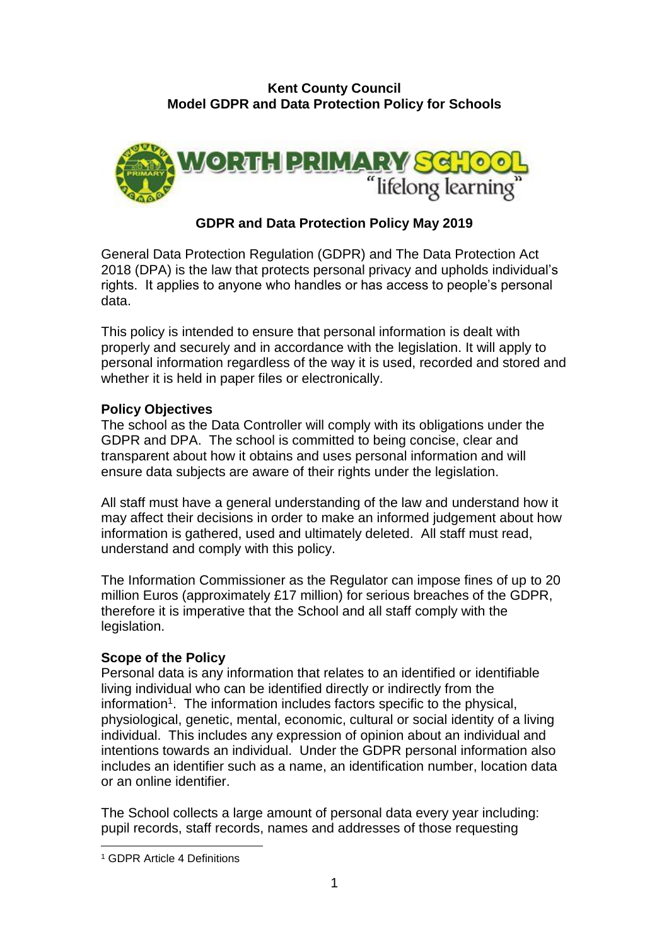#### **Kent County Council Model GDPR and Data Protection Policy for Schools**



# **GDPR and Data Protection Policy May 2019**

General Data Protection Regulation (GDPR) and The Data Protection Act 2018 (DPA) is the law that protects personal privacy and upholds individual's rights. It applies to anyone who handles or has access to people's personal data.

This policy is intended to ensure that personal information is dealt with properly and securely and in accordance with the legislation. It will apply to personal information regardless of the way it is used, recorded and stored and whether it is held in paper files or electronically.

#### **Policy Objectives**

The school as the Data Controller will comply with its obligations under the GDPR and DPA. The school is committed to being concise, clear and transparent about how it obtains and uses personal information and will ensure data subjects are aware of their rights under the legislation.

All staff must have a general understanding of the law and understand how it may affect their decisions in order to make an informed judgement about how information is gathered, used and ultimately deleted. All staff must read, understand and comply with this policy.

The Information Commissioner as the Regulator can impose fines of up to 20 million Euros (approximately £17 million) for serious breaches of the GDPR, therefore it is imperative that the School and all staff comply with the legislation.

#### **Scope of the Policy**

Personal data is any information that relates to an identified or identifiable living individual who can be identified directly or indirectly from the information<sup>1</sup>. The information includes factors specific to the physical, physiological, genetic, mental, economic, cultural or social identity of a living individual. This includes any expression of opinion about an individual and intentions towards an individual. Under the GDPR personal information also includes an identifier such as a name, an identification number, location data or an online identifier.

The School collects a large amount of personal data every year including: pupil records, staff records, names and addresses of those requesting

1

<sup>1</sup> GDPR Article 4 Definitions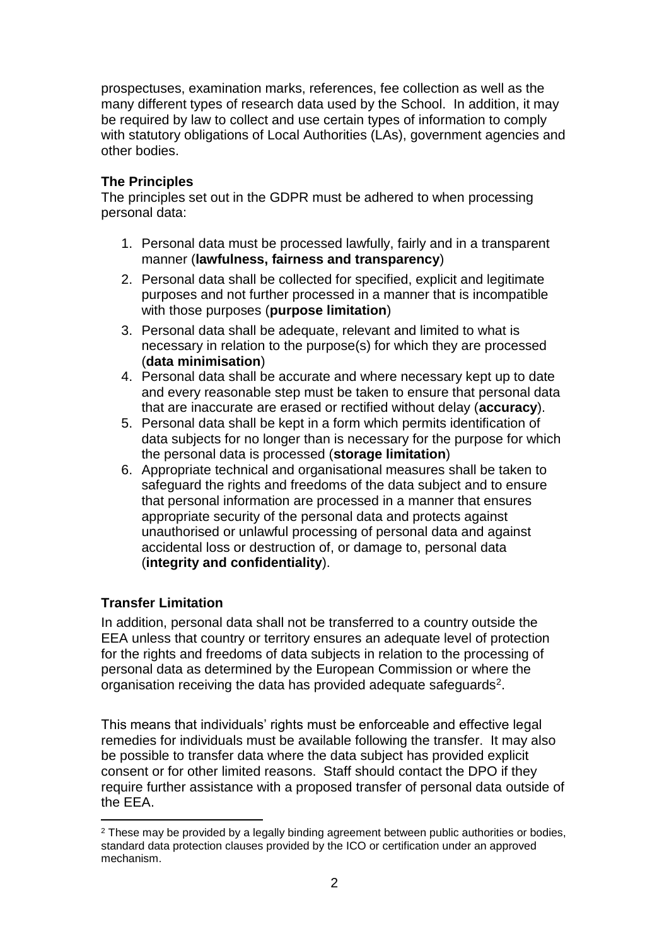prospectuses, examination marks, references, fee collection as well as the many different types of research data used by the School. In addition, it may be required by law to collect and use certain types of information to comply with statutory obligations of Local Authorities (LAs), government agencies and other bodies.

## **The Principles**

The principles set out in the GDPR must be adhered to when processing personal data:

- 1. Personal data must be processed lawfully, fairly and in a transparent manner (**lawfulness, fairness and transparency**)
- 2. Personal data shall be collected for specified, explicit and legitimate purposes and not further processed in a manner that is incompatible with those purposes (**purpose limitation**)
- 3. Personal data shall be adequate, relevant and limited to what is necessary in relation to the purpose(s) for which they are processed (**data minimisation**)
- 4. Personal data shall be accurate and where necessary kept up to date and every reasonable step must be taken to ensure that personal data that are inaccurate are erased or rectified without delay (**accuracy**).
- 5. Personal data shall be kept in a form which permits identification of data subjects for no longer than is necessary for the purpose for which the personal data is processed (**storage limitation**)
- 6. Appropriate technical and organisational measures shall be taken to safeguard the rights and freedoms of the data subject and to ensure that personal information are processed in a manner that ensures appropriate security of the personal data and protects against unauthorised or unlawful processing of personal data and against accidental loss or destruction of, or damage to, personal data (**integrity and confidentiality**).

## **Transfer Limitation**

In addition, personal data shall not be transferred to a country outside the EEA unless that country or territory ensures an adequate level of protection for the rights and freedoms of data subjects in relation to the processing of personal data as determined by the European Commission or where the organisation receiving the data has provided adequate safeguards<sup>2</sup>.

This means that individuals' rights must be enforceable and effective legal remedies for individuals must be available following the transfer. It may also be possible to transfer data where the data subject has provided explicit consent or for other limited reasons. Staff should contact the DPO if they require further assistance with a proposed transfer of personal data outside of the EEA.

<sup>1</sup> <sup>2</sup> These may be provided by a legally binding agreement between public authorities or bodies. standard data protection clauses provided by the ICO or certification under an approved mechanism.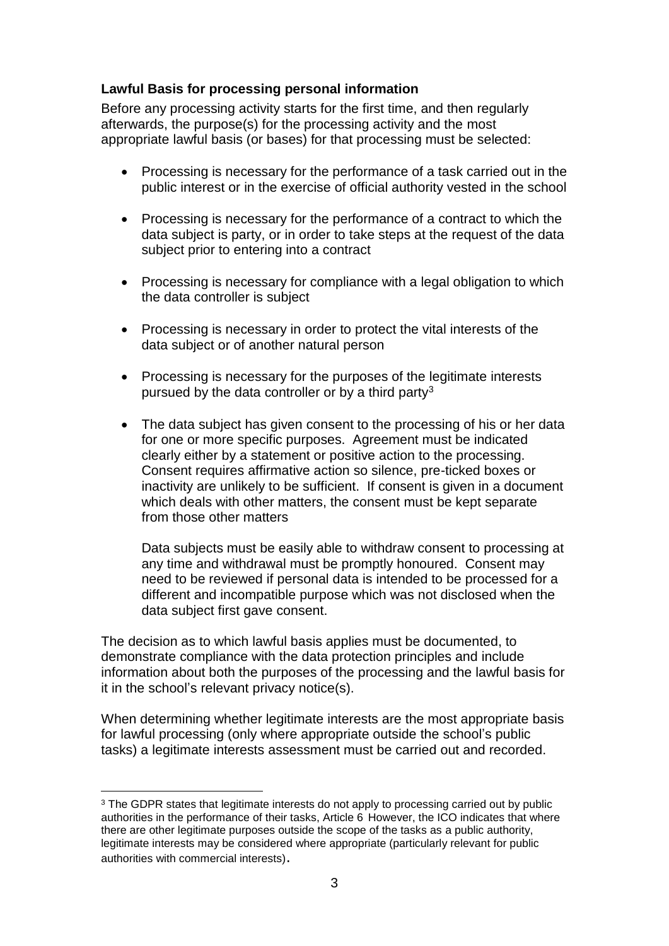### **Lawful Basis for processing personal information**

Before any processing activity starts for the first time, and then regularly afterwards, the purpose(s) for the processing activity and the most appropriate lawful basis (or bases) for that processing must be selected:

- Processing is necessary for the performance of a task carried out in the public interest or in the exercise of official authority vested in the school
- Processing is necessary for the performance of a contract to which the data subject is party, or in order to take steps at the request of the data subject prior to entering into a contract
- Processing is necessary for compliance with a legal obligation to which the data controller is subject
- Processing is necessary in order to protect the vital interests of the data subject or of another natural person
- Processing is necessary for the purposes of the legitimate interests pursued by the data controller or by a third party<sup>3</sup>
- The data subject has given consent to the processing of his or her data for one or more specific purposes. Agreement must be indicated clearly either by a statement or positive action to the processing. Consent requires affirmative action so silence, pre-ticked boxes or inactivity are unlikely to be sufficient. If consent is given in a document which deals with other matters, the consent must be kept separate from those other matters

Data subjects must be easily able to withdraw consent to processing at any time and withdrawal must be promptly honoured. Consent may need to be reviewed if personal data is intended to be processed for a different and incompatible purpose which was not disclosed when the data subject first gave consent.

The decision as to which lawful basis applies must be documented, to demonstrate compliance with the data protection principles and include information about both the purposes of the processing and the lawful basis for it in the school's relevant privacy notice(s).

When determining whether legitimate interests are the most appropriate basis for lawful processing (only where appropriate outside the school's public tasks) a legitimate interests assessment must be carried out and recorded.

<sup>1</sup> <sup>3</sup> The GDPR states that legitimate interests do not apply to processing carried out by public authorities in the performance of their tasks, Article 6 However, the ICO indicates that where there are other legitimate purposes outside the scope of the tasks as a public authority, legitimate interests may be considered where appropriate (particularly relevant for public authorities with commercial interests).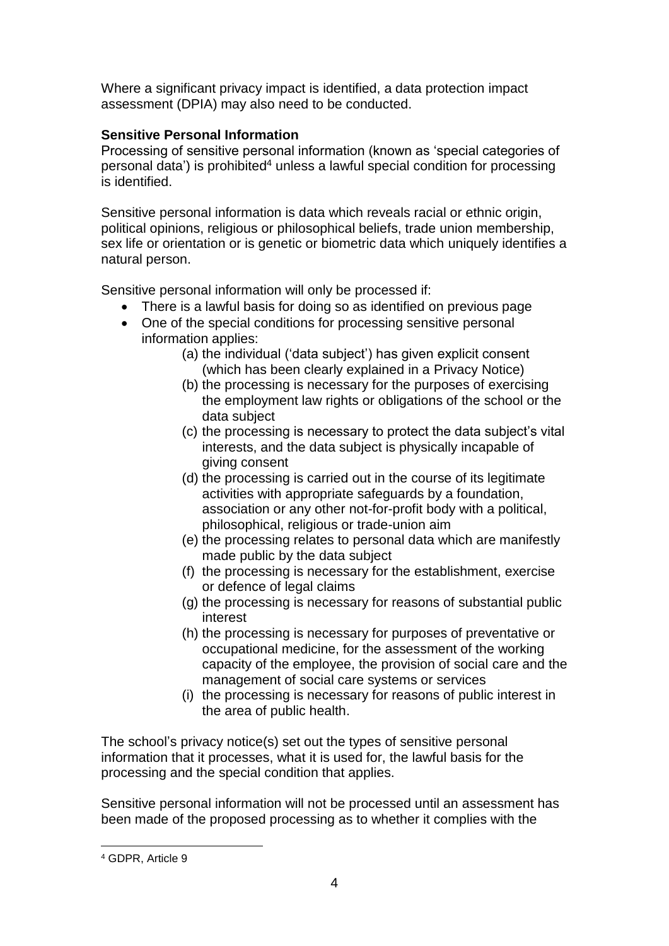Where a significant privacy impact is identified, a data protection impact assessment (DPIA) may also need to be conducted.

# **Sensitive Personal Information**

Processing of sensitive personal information (known as 'special categories of personal data') is prohibited<sup>4</sup> unless a lawful special condition for processing is identified.

Sensitive personal information is data which reveals racial or ethnic origin, political opinions, religious or philosophical beliefs, trade union membership, sex life or orientation or is genetic or biometric data which uniquely identifies a natural person.

Sensitive personal information will only be processed if:

- There is a lawful basis for doing so as identified on previous page
- One of the special conditions for processing sensitive personal information applies:
	- (a) the individual ('data subject') has given explicit consent (which has been clearly explained in a Privacy Notice)
	- (b) the processing is necessary for the purposes of exercising the employment law rights or obligations of the school or the data subject
	- (c) the processing is necessary to protect the data subject's vital interests, and the data subject is physically incapable of giving consent
	- (d) the processing is carried out in the course of its legitimate activities with appropriate safeguards by a foundation, association or any other not-for-profit body with a political, philosophical, religious or trade-union aim
	- (e) the processing relates to personal data which are manifestly made public by the data subject
	- (f) the processing is necessary for the establishment, exercise or defence of legal claims
	- (g) the processing is necessary for reasons of substantial public interest
	- (h) the processing is necessary for purposes of preventative or occupational medicine, for the assessment of the working capacity of the employee, the provision of social care and the management of social care systems or services
	- (i) the processing is necessary for reasons of public interest in the area of public health.

The school's privacy notice(s) set out the types of sensitive personal information that it processes, what it is used for, the lawful basis for the processing and the special condition that applies.

Sensitive personal information will not be processed until an assessment has been made of the proposed processing as to whether it complies with the

1

<sup>4</sup> GDPR, Article 9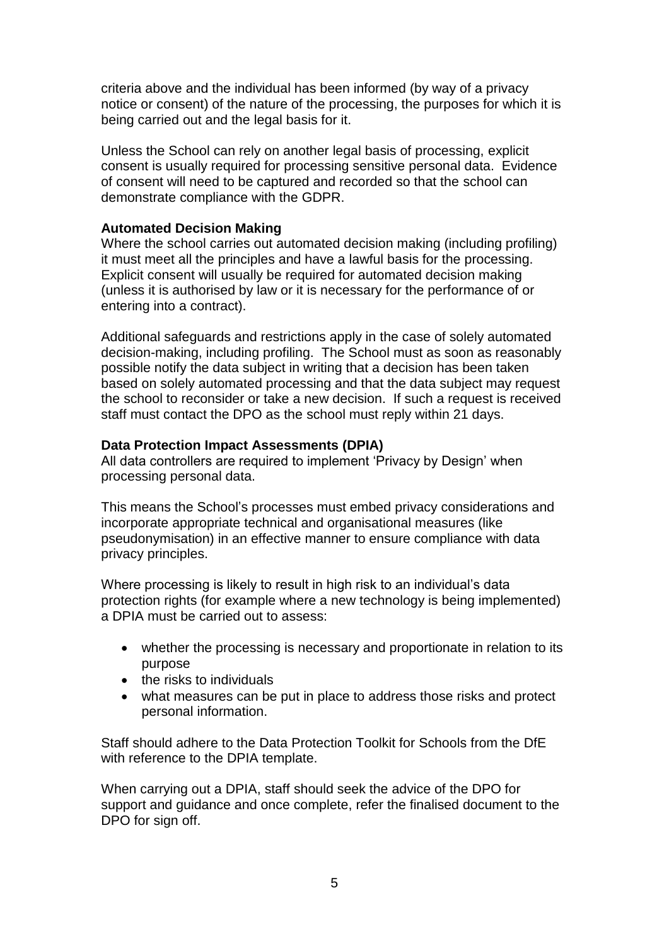criteria above and the individual has been informed (by way of a privacy notice or consent) of the nature of the processing, the purposes for which it is being carried out and the legal basis for it.

Unless the School can rely on another legal basis of processing, explicit consent is usually required for processing sensitive personal data. Evidence of consent will need to be captured and recorded so that the school can demonstrate compliance with the GDPR.

#### **Automated Decision Making**

Where the school carries out automated decision making (including profiling) it must meet all the principles and have a lawful basis for the processing. Explicit consent will usually be required for automated decision making (unless it is authorised by law or it is necessary for the performance of or entering into a contract).

Additional safeguards and restrictions apply in the case of solely automated decision-making, including profiling. The School must as soon as reasonably possible notify the data subject in writing that a decision has been taken based on solely automated processing and that the data subject may request the school to reconsider or take a new decision. If such a request is received staff must contact the DPO as the school must reply within 21 days.

### **Data Protection Impact Assessments (DPIA)**

All data controllers are required to implement 'Privacy by Design' when processing personal data.

This means the School's processes must embed privacy considerations and incorporate appropriate technical and organisational measures (like pseudonymisation) in an effective manner to ensure compliance with data privacy principles.

Where processing is likely to result in high risk to an individual's data protection rights (for example where a new technology is being implemented) a DPIA must be carried out to assess:

- whether the processing is necessary and proportionate in relation to its purpose
- the risks to individuals
- what measures can be put in place to address those risks and protect personal information.

Staff should adhere to the Data Protection Toolkit for Schools from the DfE with reference to the DPIA template.

When carrying out a DPIA, staff should seek the advice of the DPO for support and guidance and once complete, refer the finalised document to the DPO for sign off.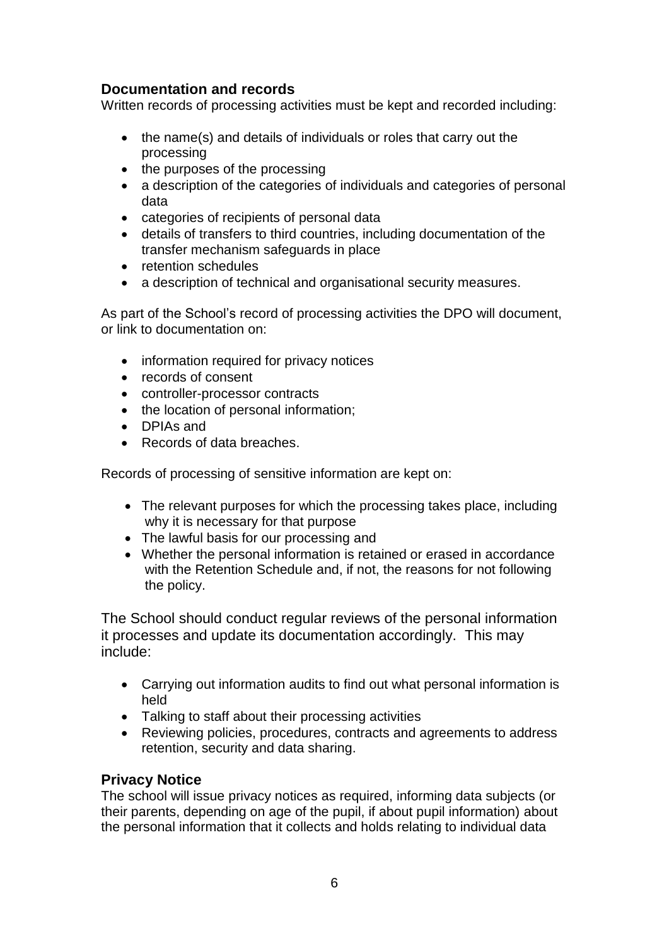# **Documentation and records**

Written records of processing activities must be kept and recorded including:

- the name(s) and details of individuals or roles that carry out the processing
- the purposes of the processing
- a description of the categories of individuals and categories of personal data
- categories of recipients of personal data
- details of transfers to third countries, including documentation of the transfer mechanism safeguards in place
- retention schedules
- a description of technical and organisational security measures.

As part of the School's record of processing activities the DPO will document, or link to documentation on:

- information required for privacy notices
- records of consent
- controller-processor contracts
- the location of personal information;
- DPIAs and
- Records of data breaches.

Records of processing of sensitive information are kept on:

- The relevant purposes for which the processing takes place, including why it is necessary for that purpose
- The lawful basis for our processing and
- Whether the personal information is retained or erased in accordance with the Retention Schedule and, if not, the reasons for not following the policy.

The School should conduct regular reviews of the personal information it processes and update its documentation accordingly. This may include:

- Carrying out information audits to find out what personal information is held
- Talking to staff about their processing activities
- Reviewing policies, procedures, contracts and agreements to address retention, security and data sharing.

## **Privacy Notice**

The school will issue privacy notices as required, informing data subjects (or their parents, depending on age of the pupil, if about pupil information) about the personal information that it collects and holds relating to individual data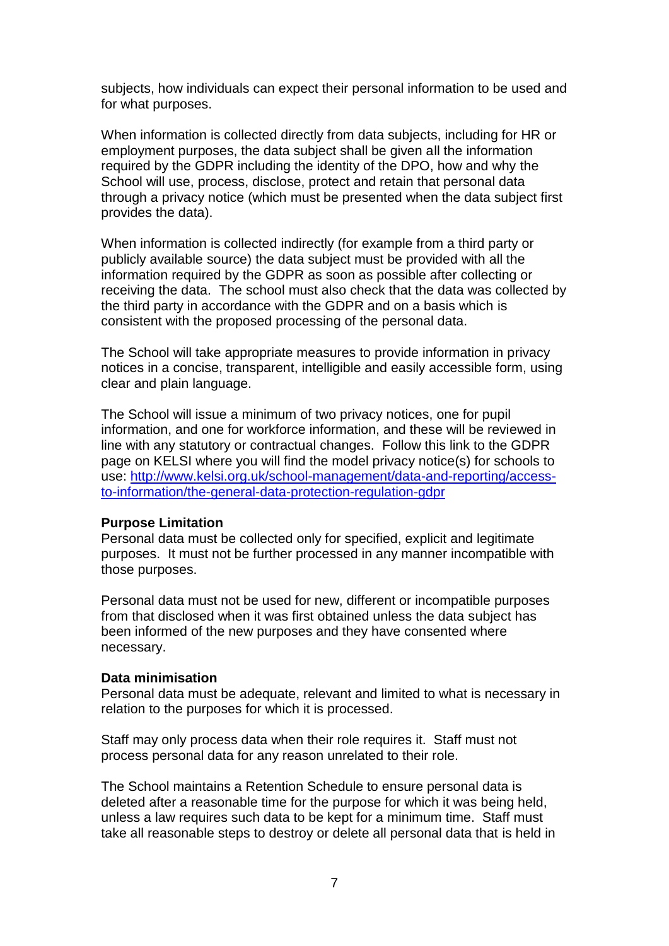subjects, how individuals can expect their personal information to be used and for what purposes.

When information is collected directly from data subjects, including for HR or employment purposes, the data subject shall be given all the information required by the GDPR including the identity of the DPO, how and why the School will use, process, disclose, protect and retain that personal data through a privacy notice (which must be presented when the data subject first provides the data).

When information is collected indirectly (for example from a third party or publicly available source) the data subject must be provided with all the information required by the GDPR as soon as possible after collecting or receiving the data. The school must also check that the data was collected by the third party in accordance with the GDPR and on a basis which is consistent with the proposed processing of the personal data.

The School will take appropriate measures to provide information in privacy notices in a concise, transparent, intelligible and easily accessible form, using clear and plain language.

The School will issue a minimum of two privacy notices, one for pupil information, and one for workforce information, and these will be reviewed in line with any statutory or contractual changes. Follow this link to the GDPR page on KELSI where you will find the model privacy notice(s) for schools to use: [http://www.kelsi.org.uk/school-management/data-and-reporting/access](http://www.kelsi.org.uk/school-management/data-and-reporting/access-to-information/the-general-data-protection-regulation-gdpr)[to-information/the-general-data-protection-regulation-gdpr](http://www.kelsi.org.uk/school-management/data-and-reporting/access-to-information/the-general-data-protection-regulation-gdpr)

#### **Purpose Limitation**

Personal data must be collected only for specified, explicit and legitimate purposes. It must not be further processed in any manner incompatible with those purposes.

Personal data must not be used for new, different or incompatible purposes from that disclosed when it was first obtained unless the data subject has been informed of the new purposes and they have consented where necessary.

#### **Data minimisation**

Personal data must be adequate, relevant and limited to what is necessary in relation to the purposes for which it is processed.

Staff may only process data when their role requires it. Staff must not process personal data for any reason unrelated to their role.

The School maintains a Retention Schedule to ensure personal data is deleted after a reasonable time for the purpose for which it was being held, unless a law requires such data to be kept for a minimum time. Staff must take all reasonable steps to destroy or delete all personal data that is held in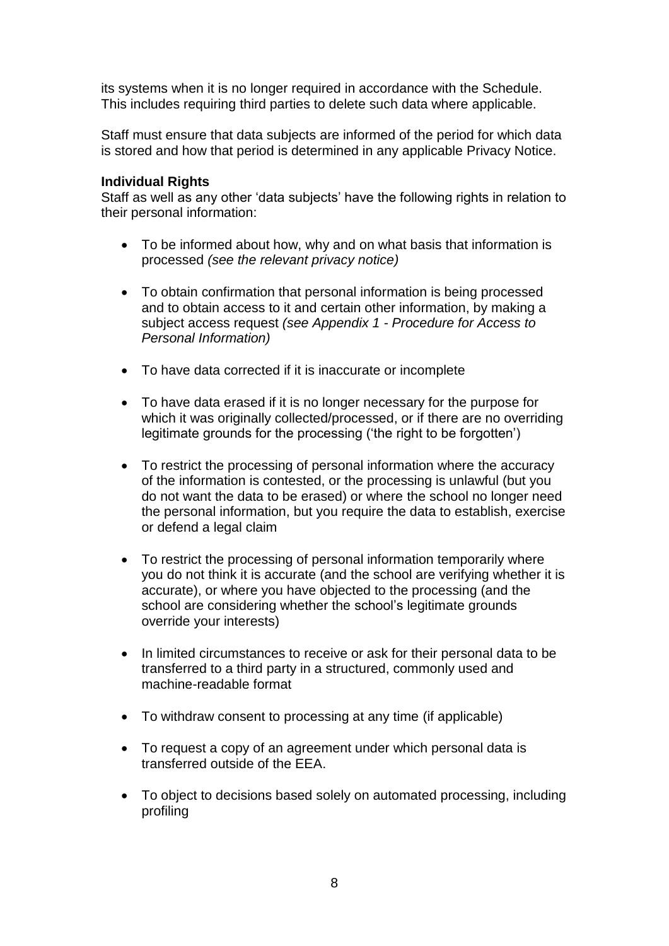its systems when it is no longer required in accordance with the Schedule. This includes requiring third parties to delete such data where applicable.

Staff must ensure that data subjects are informed of the period for which data is stored and how that period is determined in any applicable Privacy Notice.

#### **Individual Rights**

Staff as well as any other 'data subjects' have the following rights in relation to their personal information:

- To be informed about how, why and on what basis that information is processed *(see the relevant privacy notice)*
- To obtain confirmation that personal information is being processed and to obtain access to it and certain other information, by making a subject access request *(see Appendix 1 - Procedure for Access to Personal Information)*
- To have data corrected if it is inaccurate or incomplete
- To have data erased if it is no longer necessary for the purpose for which it was originally collected/processed, or if there are no overriding legitimate grounds for the processing ('the right to be forgotten')
- To restrict the processing of personal information where the accuracy of the information is contested, or the processing is unlawful (but you do not want the data to be erased) or where the school no longer need the personal information, but you require the data to establish, exercise or defend a legal claim
- To restrict the processing of personal information temporarily where you do not think it is accurate (and the school are verifying whether it is accurate), or where you have objected to the processing (and the school are considering whether the school's legitimate grounds override your interests)
- In limited circumstances to receive or ask for their personal data to be transferred to a third party in a structured, commonly used and machine-readable format
- To withdraw consent to processing at any time (if applicable)
- To request a copy of an agreement under which personal data is transferred outside of the EEA.
- To object to decisions based solely on automated processing, including profiling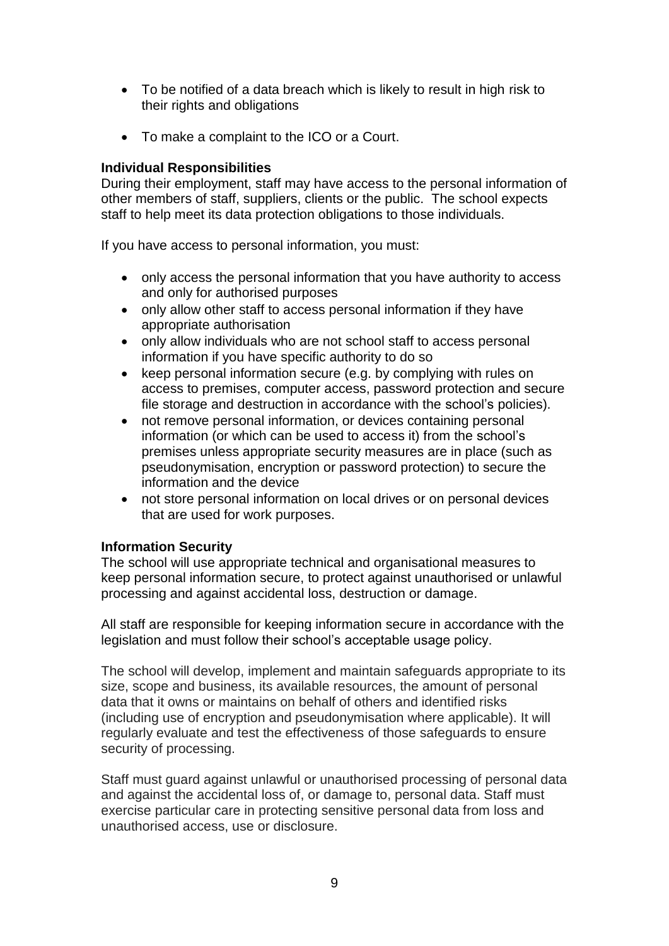- To be notified of a data breach which is likely to result in high risk to their rights and obligations
- To make a complaint to the ICO or a Court.

### **Individual Responsibilities**

During their employment, staff may have access to the personal information of other members of staff, suppliers, clients or the public. The school expects staff to help meet its data protection obligations to those individuals.

If you have access to personal information, you must:

- only access the personal information that you have authority to access and only for authorised purposes
- only allow other staff to access personal information if they have appropriate authorisation
- only allow individuals who are not school staff to access personal information if you have specific authority to do so
- keep personal information secure (e.g. by complying with rules on access to premises, computer access, password protection and secure file storage and destruction in accordance with the school's policies).
- not remove personal information, or devices containing personal information (or which can be used to access it) from the school's premises unless appropriate security measures are in place (such as pseudonymisation, encryption or password protection) to secure the information and the device
- not store personal information on local drives or on personal devices that are used for work purposes.

## **Information Security**

The school will use appropriate technical and organisational measures to keep personal information secure, to protect against unauthorised or unlawful processing and against accidental loss, destruction or damage.

All staff are responsible for keeping information secure in accordance with the legislation and must follow their school's acceptable usage policy.

The school will develop, implement and maintain safeguards appropriate to its size, scope and business, its available resources, the amount of personal data that it owns or maintains on behalf of others and identified risks (including use of encryption and pseudonymisation where applicable). It will regularly evaluate and test the effectiveness of those safeguards to ensure security of processing.

Staff must guard against unlawful or unauthorised processing of personal data and against the accidental loss of, or damage to, personal data. Staff must exercise particular care in protecting sensitive personal data from loss and unauthorised access, use or disclosure.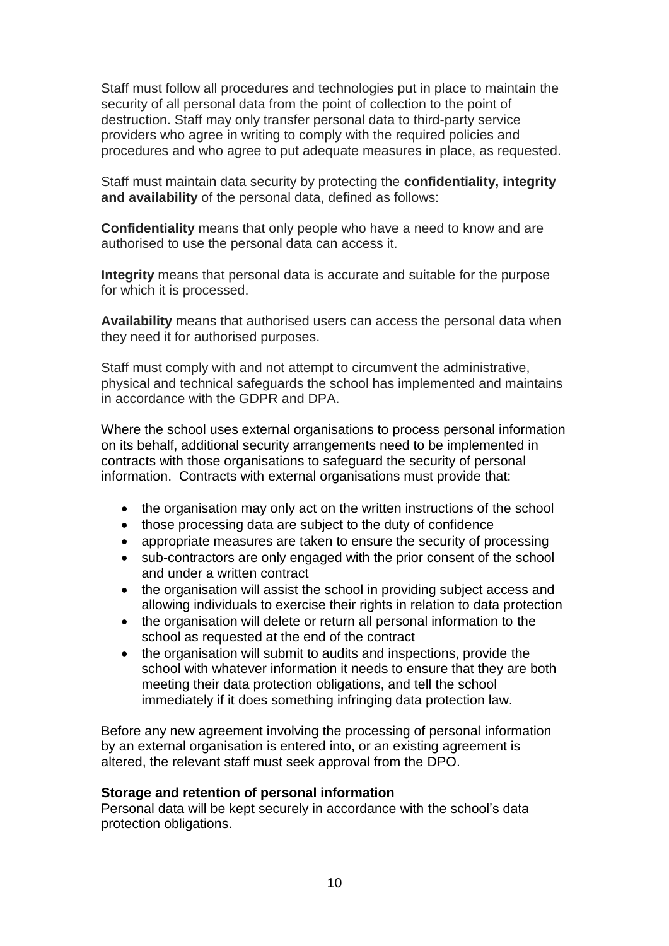Staff must follow all procedures and technologies put in place to maintain the security of all personal data from the point of collection to the point of destruction. Staff may only transfer personal data to third-party service providers who agree in writing to comply with the required policies and procedures and who agree to put adequate measures in place, as requested.

Staff must maintain data security by protecting the **confidentiality, integrity and availability** of the personal data, defined as follows:

**Confidentiality** means that only people who have a need to know and are authorised to use the personal data can access it.

**Integrity** means that personal data is accurate and suitable for the purpose for which it is processed.

**Availability** means that authorised users can access the personal data when they need it for authorised purposes.

Staff must comply with and not attempt to circumvent the administrative, physical and technical safeguards the school has implemented and maintains in accordance with the GDPR and DPA.

Where the school uses external organisations to process personal information on its behalf, additional security arrangements need to be implemented in contracts with those organisations to safeguard the security of personal information. Contracts with external organisations must provide that:

- the organisation may only act on the written instructions of the school
- those processing data are subject to the duty of confidence
- appropriate measures are taken to ensure the security of processing
- sub-contractors are only engaged with the prior consent of the school and under a written contract
- the organisation will assist the school in providing subject access and allowing individuals to exercise their rights in relation to data protection
- the organisation will delete or return all personal information to the school as requested at the end of the contract
- the organisation will submit to audits and inspections, provide the school with whatever information it needs to ensure that they are both meeting their data protection obligations, and tell the school immediately if it does something infringing data protection law.

Before any new agreement involving the processing of personal information by an external organisation is entered into, or an existing agreement is altered, the relevant staff must seek approval from the DPO.

#### **Storage and retention of personal information**

Personal data will be kept securely in accordance with the school's data protection obligations.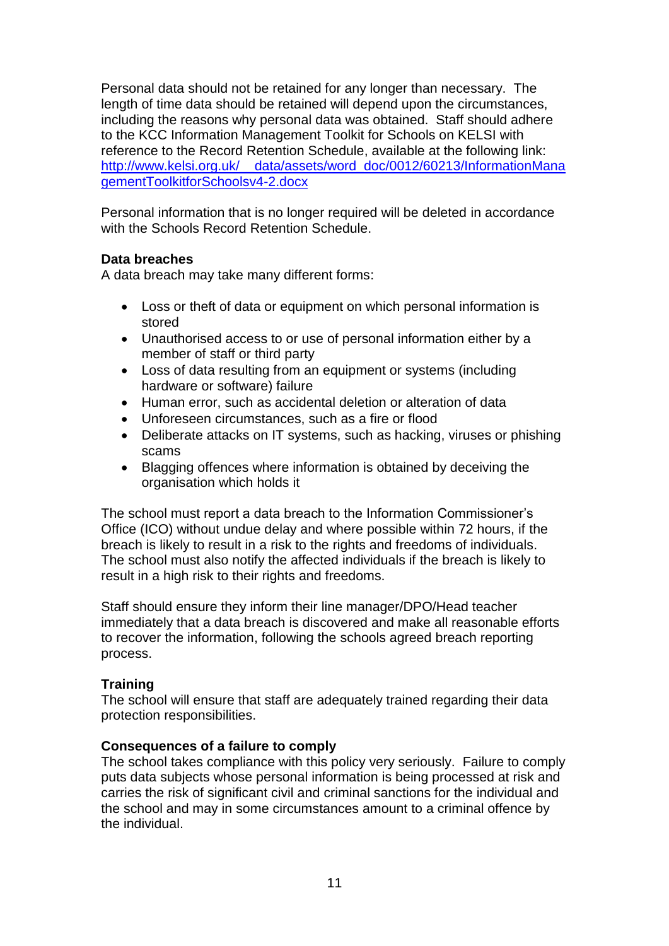Personal data should not be retained for any longer than necessary. The length of time data should be retained will depend upon the circumstances, including the reasons why personal data was obtained. Staff should adhere to the KCC Information Management Toolkit for Schools on KELSI with reference to the Record Retention Schedule, available at the following link: [http://www.kelsi.org.uk/\\_\\_data/assets/word\\_doc/0012/60213/InformationMana](http://www.kelsi.org.uk/__data/assets/word_doc/0012/60213/InformationManagementToolkitforSchoolsv4-2.docx) [gementToolkitforSchoolsv4-2.docx](http://www.kelsi.org.uk/__data/assets/word_doc/0012/60213/InformationManagementToolkitforSchoolsv4-2.docx)

Personal information that is no longer required will be deleted in accordance with the Schools Record Retention Schedule.

### **Data breaches**

A data breach may take many different forms:

- Loss or theft of data or equipment on which personal information is stored
- Unauthorised access to or use of personal information either by a member of staff or third party
- Loss of data resulting from an equipment or systems (including hardware or software) failure
- Human error, such as accidental deletion or alteration of data
- Unforeseen circumstances, such as a fire or flood
- Deliberate attacks on IT systems, such as hacking, viruses or phishing scams
- Blagging offences where information is obtained by deceiving the organisation which holds it

The school must report a data breach to the Information Commissioner's Office (ICO) without undue delay and where possible within 72 hours, if the breach is likely to result in a risk to the rights and freedoms of individuals. The school must also notify the affected individuals if the breach is likely to result in a high risk to their rights and freedoms.

Staff should ensure they inform their line manager/DPO/Head teacher immediately that a data breach is discovered and make all reasonable efforts to recover the information, following the schools agreed breach reporting process.

## **Training**

The school will ensure that staff are adequately trained regarding their data protection responsibilities.

#### **Consequences of a failure to comply**

The school takes compliance with this policy very seriously. Failure to comply puts data subjects whose personal information is being processed at risk and carries the risk of significant civil and criminal sanctions for the individual and the school and may in some circumstances amount to a criminal offence by the individual.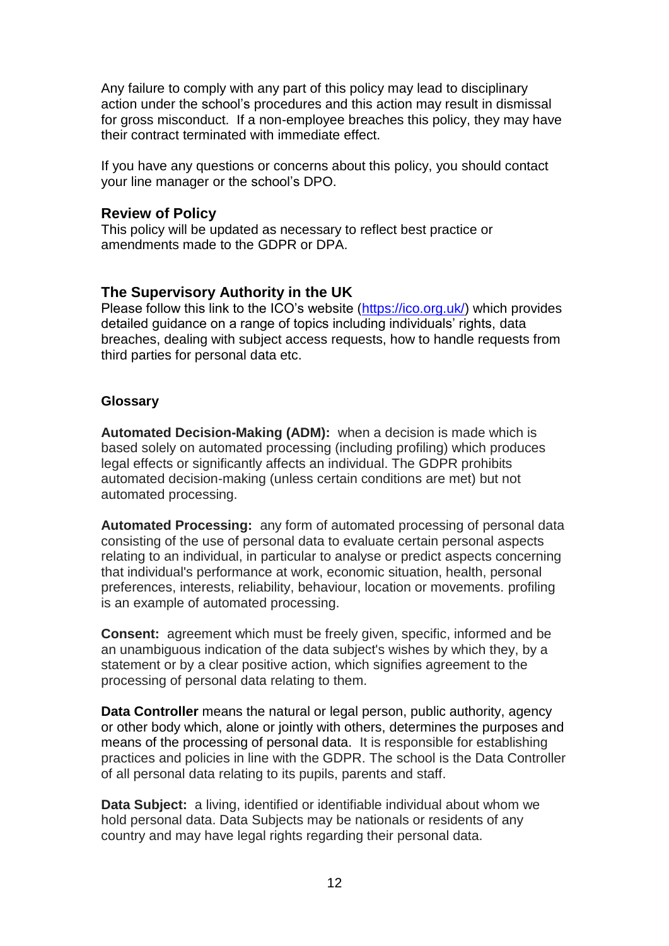Any failure to comply with any part of this policy may lead to disciplinary action under the school's procedures and this action may result in dismissal for gross misconduct. If a non-employee breaches this policy, they may have their contract terminated with immediate effect.

If you have any questions or concerns about this policy, you should contact your line manager or the school's DPO.

#### **Review of Policy**

This policy will be updated as necessary to reflect best practice or amendments made to the GDPR or DPA.

### **The Supervisory Authority in the UK**

Please follow this link to the ICO's website [\(https://ico.org.uk/\)](https://ico.org.uk/) which provides detailed guidance on a range of topics including individuals' rights, data breaches, dealing with subject access requests, how to handle requests from third parties for personal data etc.

#### **Glossary**

**Automated Decision-Making (ADM):** when a decision is made which is based solely on automated processing (including profiling) which produces legal effects or significantly affects an individual. The GDPR prohibits automated decision-making (unless certain conditions are met) but not automated processing.

**Automated Processing:** any form of automated processing of personal data consisting of the use of personal data to evaluate certain personal aspects relating to an individual, in particular to analyse or predict aspects concerning that individual's performance at work, economic situation, health, personal preferences, interests, reliability, behaviour, location or movements. profiling is an example of automated processing.

**Consent:** agreement which must be freely given, specific, informed and be an unambiguous indication of the data subject's wishes by which they, by a statement or by a clear positive action, which signifies agreement to the processing of personal data relating to them.

**Data Controller** means the natural or legal person, public authority, agency or other body which, alone or jointly with others, determines the purposes and means of the processing of personal data. It is responsible for establishing practices and policies in line with the GDPR. The school is the Data Controller of all personal data relating to its pupils, parents and staff.

**Data Subject:** a living, identified or identifiable individual about whom we hold personal data. Data Subjects may be nationals or residents of any country and may have legal rights regarding their personal data.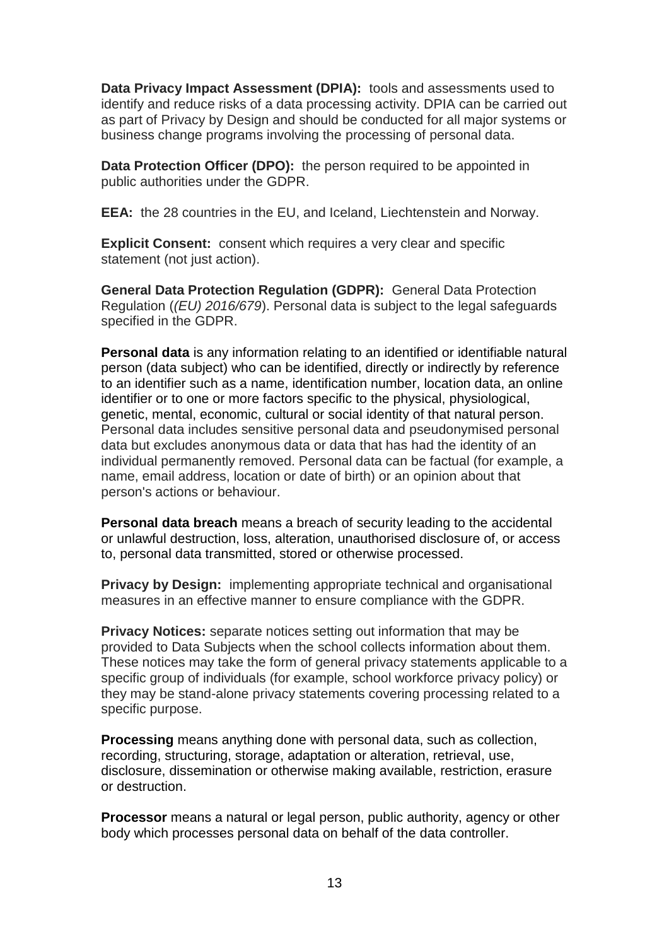**Data Privacy Impact Assessment (DPIA):** tools and assessments used to identify and reduce risks of a data processing activity. DPIA can be carried out as part of Privacy by Design and should be conducted for all major systems or business change programs involving the processing of personal data.

**Data Protection Officer (DPO):** the person required to be appointed in public authorities under the GDPR.

**EEA:** the 28 countries in the EU, and Iceland, Liechtenstein and Norway.

**Explicit Consent:** consent which requires a very clear and specific statement (not just action).

**General Data Protection Regulation (GDPR):** General Data Protection Regulation (*(EU) 2016/679*). Personal data is subject to the legal safeguards specified in the GDPR.

**Personal data** is any information relating to an identified or identifiable natural person (data subject) who can be identified, directly or indirectly by reference to an identifier such as a name, identification number, location data, an online identifier or to one or more factors specific to the physical, physiological, genetic, mental, economic, cultural or social identity of that natural person. Personal data includes sensitive personal data and pseudonymised personal data but excludes anonymous data or data that has had the identity of an individual permanently removed. Personal data can be factual (for example, a name, email address, location or date of birth) or an opinion about that person's actions or behaviour.

**Personal data breach** means a breach of security leading to the accidental or unlawful destruction, loss, alteration, unauthorised disclosure of, or access to, personal data transmitted, stored or otherwise processed.

**Privacy by Design:** implementing appropriate technical and organisational measures in an effective manner to ensure compliance with the GDPR.

**Privacy Notices:** separate notices setting out information that may be provided to Data Subjects when the school collects information about them. These notices may take the form of general privacy statements applicable to a specific group of individuals (for example, school workforce privacy policy) or they may be stand-alone privacy statements covering processing related to a specific purpose.

**Processing** means anything done with personal data, such as collection, recording, structuring, storage, adaptation or alteration, retrieval, use, disclosure, dissemination or otherwise making available, restriction, erasure or destruction.

**Processor** means a natural or legal person, public authority, agency or other body which processes personal data on behalf of the data controller.